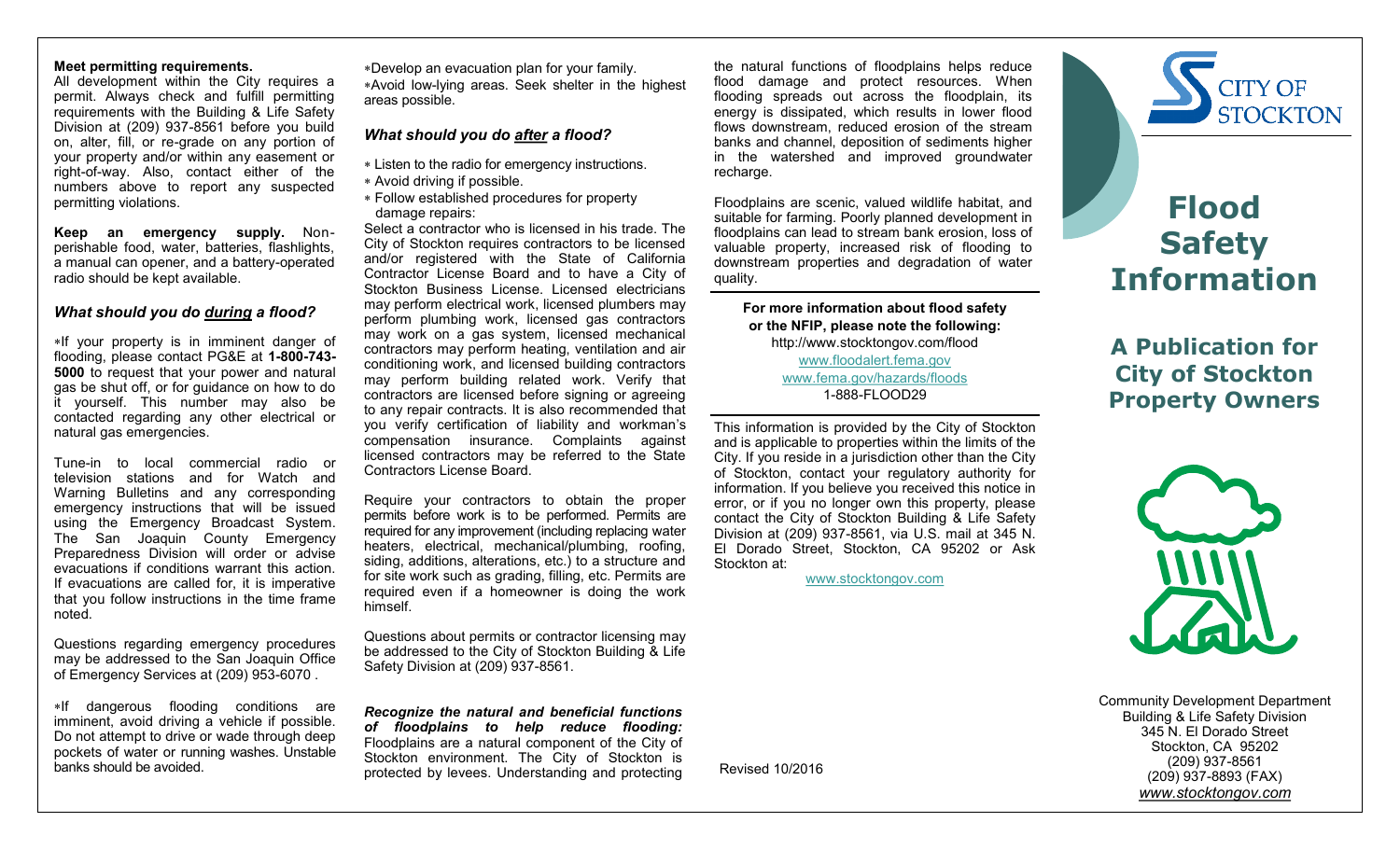### **Meet permitting requirements.**

All development within the City requires a permit. Always check and fulfill permitting requirements with the Building & Life Safety Division at (209) 937-8561 before you build on, alter, fill, or re-grade on any portion of your property and/or within any easement or right-of-way. Also, contact either of the numbers above to report any suspected permitting violations.

**Keep an emergency supply.** Nonperishable food, water, batteries, flashlights, a manual can opener, and a battery-operated radio should be kept available.

### *What should you do during a flood?*

If your property is in imminent danger of flooding, please contact PG&E at **1-800-743- 5000** to request that your power and natural gas be shut off, or for guidance on how to do it yourself. This number may also be contacted regarding any other electrical or natural gas emergencies.

Tune-in to local commercial radio or television stations and for Watch and Warning Bulletins and any corresponding emergency instructions that will be issued using the Emergency Broadcast System. The San Joaquin County Emergency Preparedness Division will order or advise evacuations if conditions warrant this action. If evacuations are called for, it is imperative that you follow instructions in the time frame noted.

Questions regarding emergency procedures may be addressed to the San Joaquin Office of Emergency Services at (209) 953-6070 .

\*If dangerous flooding conditions are imminent, avoid driving a vehicle if possible. Do not attempt to drive or wade through deep pockets of water or running washes. Unstable banks should be avoided.

Develop an evacuation plan for your family. Avoid low-lying areas. Seek shelter in the highest areas possible.

# *What should you do after a flood?*

- Listen to the radio for emergency instructions.
- Avoid driving if possible.
- Follow established procedures for property damage repairs:

Select a contractor who is licensed in his trade. The City of Stockton requires contractors to be licensed and/or registered with the State of California Contractor License Board and to have a City of Stockton Business License. Licensed electricians may perform electrical work, licensed plumbers may perform plumbing work, licensed gas contractors may work on a gas system, licensed mechanical contractors may perform heating, ventilation and air conditioning work, and licensed building contractors may perform building related work. Verify that contractors are licensed before signing or agreeing to any repair contracts. It is also recommended that you verify certification of liability and workman's compensation insurance. Complaints against licensed contractors may be referred to the State Contractors License Board.

Require your contractors to obtain the proper permits before work is to be performed. Permits are required for any improvement (including replacing water heaters, electrical, mechanical/plumbing, roofing, siding, additions, alterations, etc.) to a structure and for site work such as grading, filling, etc. Permits are required even if a homeowner is doing the work himself.

Questions about permits or contractor licensing may be addressed to the City of Stockton Building & Life Safety Division at (209) 937-8561.

*Recognize the natural and beneficial functions of floodplains to help reduce flooding:* Floodplains are a natural component of the City of Stockton environment. The City of Stockton is protected by levees. Understanding and protecting

the natural functions of floodplains helps reduce flood damage and protect resources. When flooding spreads out across the floodplain, its energy is dissipated, which results in lower flood flows downstream, reduced erosion of the stream banks and channel, deposition of sediments higher in the watershed and improved groundwater recharge.

Floodplains are scenic, valued wildlife habitat, and suitable for farming. Poorly planned development in floodplains can lead to stream bank erosion, loss of valuable property, increased risk of flooding to downstream properties and degradation of water quality.

**For more information about flood safety or the NFIP, please note the following:** http://www.stocktongov.com/flood [www.floodalert.fema.gov](http://www.floodalert.fema.gov/) [www.fema.gov/hazards/floods](http://www.fema.gov/hazards/floods) 1-888-FLOOD29

This information is provided by the City of Stockton and is applicable to properties within the limits of the City. If you reside in a jurisdiction other than the City of Stockton, contact your regulatory authority for information. If you believe you received this notice in error, or if you no longer own this property, please contact the City of Stockton Building & Life Safety Division at (209) 937-8561, via U.S. mail at 345 N. El Dorado Street, Stockton, CA 95202 or Ask Stockton at:

[www.stocktongov.com](http://www.stocktongov.com/)



# **Flood Safety Information**

**A Publication for City of Stockton Property Owners**



Community Development Department Building & Life Safety Division 345 N. El Dorado Street Stockton, CA 95202 (209) 937-8561 (209) 937-8893 (FAX) *www.stocktongov.com*

Revised 10/2016